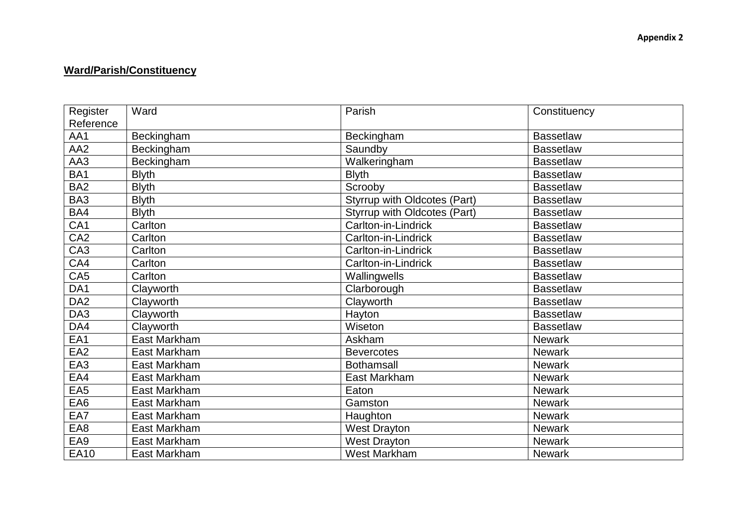## **Ward/Parish/Constituency**

| Register        | Ward         | Parish                       | Constituency     |
|-----------------|--------------|------------------------------|------------------|
| Reference       |              |                              |                  |
| AA1             | Beckingham   | Beckingham                   | <b>Bassetlaw</b> |
| AA <sub>2</sub> | Beckingham   | Saundby                      | <b>Bassetlaw</b> |
| AA3             | Beckingham   | Walkeringham                 | <b>Bassetlaw</b> |
| BA <sub>1</sub> | <b>Blyth</b> | <b>Blyth</b>                 | <b>Bassetlaw</b> |
| BA <sub>2</sub> | <b>Blyth</b> | Scrooby                      | <b>Bassetlaw</b> |
| BA3             | <b>Blyth</b> | Styrrup with Oldcotes (Part) | <b>Bassetlaw</b> |
| BA4             | <b>Blyth</b> | Styrrup with Oldcotes (Part) | <b>Bassetlaw</b> |
| CA <sub>1</sub> | Carlton      | Carlton-in-Lindrick          | <b>Bassetlaw</b> |
| CA <sub>2</sub> | Carlton      | Carlton-in-Lindrick          | <b>Bassetlaw</b> |
| CA <sub>3</sub> | Carlton      | Carlton-in-Lindrick          | <b>Bassetlaw</b> |
| CA4             | Carlton      | Carlton-in-Lindrick          | <b>Bassetlaw</b> |
| CA <sub>5</sub> | Carlton      | Wallingwells                 | <b>Bassetlaw</b> |
| DA1             | Clayworth    | Clarborough                  | <b>Bassetlaw</b> |
| DA <sub>2</sub> | Clayworth    | Clayworth                    | <b>Bassetlaw</b> |
| DA3             | Clayworth    | Hayton                       | <b>Bassetlaw</b> |
| DA4             | Clayworth    | Wiseton                      | <b>Bassetlaw</b> |
| EA1             | East Markham | Askham                       | <b>Newark</b>    |
| EA <sub>2</sub> | East Markham | <b>Bevercotes</b>            | <b>Newark</b>    |
| EA <sub>3</sub> | East Markham | <b>Bothamsall</b>            | <b>Newark</b>    |
| EA4             | East Markham | East Markham                 | <b>Newark</b>    |
| EA <sub>5</sub> | East Markham | Eaton                        | Newark           |
| EA6             | East Markham | Gamston                      | Newark           |
| EA7             | East Markham | Haughton                     | <b>Newark</b>    |
| EA8             | East Markham | <b>West Drayton</b>          | Newark           |
| EA9             | East Markham | <b>West Drayton</b>          | <b>Newark</b>    |
| <b>EA10</b>     | East Markham | West Markham                 | <b>Newark</b>    |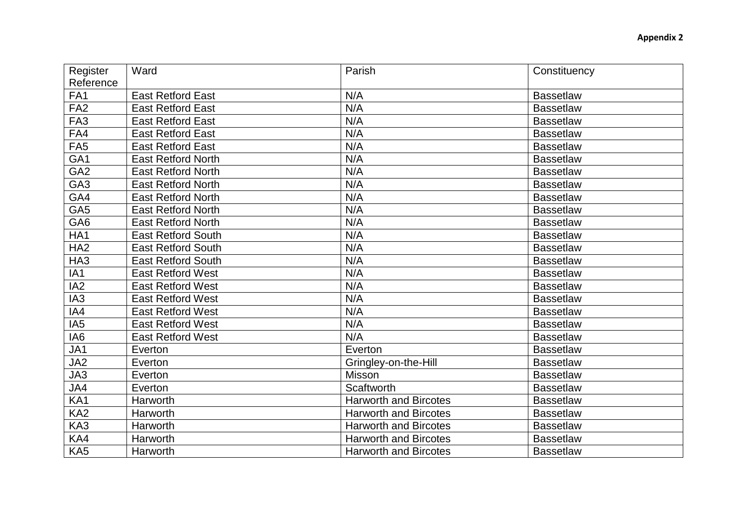| Register        | Ward                      | Parish               | Constituency     |
|-----------------|---------------------------|----------------------|------------------|
| Reference       |                           |                      |                  |
| FA <sub>1</sub> | <b>East Retford East</b>  | N/A                  | <b>Bassetlaw</b> |
| FA <sub>2</sub> | <b>East Retford East</b>  | N/A                  | <b>Bassetlaw</b> |
| FA <sub>3</sub> | <b>East Retford East</b>  | N/A                  | <b>Bassetlaw</b> |
| FA4             | <b>East Retford East</b>  | N/A                  | <b>Bassetlaw</b> |
| FA <sub>5</sub> | <b>East Retford East</b>  | N/A                  | <b>Bassetlaw</b> |
| GA <sub>1</sub> | <b>East Retford North</b> | N/A                  | <b>Bassetlaw</b> |
| GA <sub>2</sub> | <b>East Retford North</b> | N/A                  | <b>Bassetlaw</b> |
| GA <sub>3</sub> | <b>East Retford North</b> | N/A                  | <b>Bassetlaw</b> |
| GA4             | <b>East Retford North</b> | N/A                  | <b>Bassetlaw</b> |
| GA <sub>5</sub> | <b>East Retford North</b> | N/A                  | <b>Bassetlaw</b> |
| GA <sub>6</sub> | <b>East Retford North</b> | N/A                  | <b>Bassetlaw</b> |
| HA1             | <b>East Retford South</b> | N/A                  | <b>Bassetlaw</b> |
| HA <sub>2</sub> | <b>East Retford South</b> | N/A                  | <b>Bassetlaw</b> |
| HA <sub>3</sub> | <b>East Retford South</b> | N/A                  | <b>Bassetlaw</b> |
| IA <sub>1</sub> | <b>East Retford West</b>  | N/A                  | <b>Bassetlaw</b> |
| IA <sub>2</sub> | <b>East Retford West</b>  | N/A                  | <b>Bassetlaw</b> |
| IA <sub>3</sub> | <b>East Retford West</b>  | N/A                  | <b>Bassetlaw</b> |
| IA4             | <b>East Retford West</b>  | N/A                  | <b>Bassetlaw</b> |
| IA <sub>5</sub> | <b>East Retford West</b>  | N/A                  | <b>Bassetlaw</b> |
| IA6             | <b>East Retford West</b>  | N/A                  | <b>Bassetlaw</b> |
| JA1             | Everton                   | Everton              | <b>Bassetlaw</b> |
| JA2             | Everton                   | Gringley-on-the-Hill | <b>Bassetlaw</b> |
| JA3             | Everton                   | Misson               | <b>Bassetlaw</b> |
| JA4             | Everton                   | Scaftworth           | <b>Bassetlaw</b> |

EXA1 Harworth Harworth Harworth and Bircotes Bassetlaw<br>
KA2 Harworth Harworth and Bircotes Bassetlaw EXA2 Harworth Harworth Harworth and Bircotes Bassetlaw<br>
KA3 Harworth Harworth and Bircotes Bassetlaw EXA3 Harworth Harworth Harworth and Bircotes Bassetlaw<br>
KA4 Harworth Harworth Harworth and Bircotes Bassetlaw EXA4 Harworth Harworth Harworth and Bircotes Bassetlaw<br>
KA5 Harworth Harworth and Bircotes Bassetlaw

Harworth **Harworth Affinites and Bircotes** Bassetlaw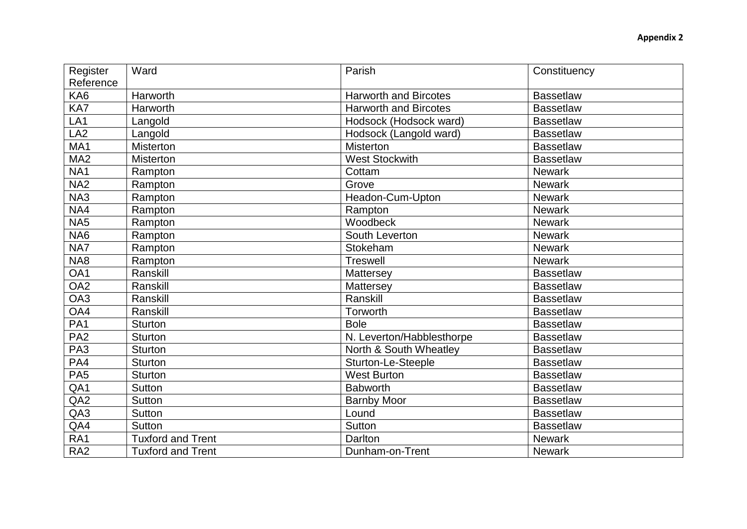| Register        | Ward                     | Parish                       | Constituency     |
|-----------------|--------------------------|------------------------------|------------------|
| Reference       |                          |                              |                  |
| KA6             | Harworth                 | <b>Harworth and Bircotes</b> | <b>Bassetlaw</b> |
| KA7             | Harworth                 | <b>Harworth and Bircotes</b> | <b>Bassetlaw</b> |
| LA <sub>1</sub> | Langold                  | Hodsock (Hodsock ward)       | <b>Bassetlaw</b> |
| LA <sub>2</sub> | Langold                  | Hodsock (Langold ward)       | <b>Bassetlaw</b> |
| MA1             | <b>Misterton</b>         | <b>Misterton</b>             | <b>Bassetlaw</b> |
| MA <sub>2</sub> | <b>Misterton</b>         | <b>West Stockwith</b>        | <b>Bassetlaw</b> |
| NA <sub>1</sub> | Rampton                  | Cottam                       | <b>Newark</b>    |
| NA <sub>2</sub> | Rampton                  | Grove                        | <b>Newark</b>    |
| NA3             | Rampton                  | Headon-Cum-Upton             | <b>Newark</b>    |
| NA4             | Rampton                  | Rampton                      | <b>Newark</b>    |
| NA <sub>5</sub> | Rampton                  | Woodbeck                     | <b>Newark</b>    |
| NA6             | Rampton                  | South Leverton               | <b>Newark</b>    |
| NA7             | Rampton                  | Stokeham                     | Newark           |
| NA8             | Rampton                  | Treswell                     | <b>Newark</b>    |
| OA1             | Ranskill                 | Mattersey                    | <b>Bassetlaw</b> |
| OA <sub>2</sub> | Ranskill                 | Mattersey                    | <b>Bassetlaw</b> |
| OA3             | Ranskill                 | Ranskill                     | <b>Bassetlaw</b> |
| OA4             | Ranskill                 | Torworth                     | <b>Bassetlaw</b> |
| PA <sub>1</sub> | <b>Sturton</b>           | <b>Bole</b>                  | <b>Bassetlaw</b> |
| PA <sub>2</sub> | <b>Sturton</b>           | N. Leverton/Habblesthorpe    | <b>Bassetlaw</b> |
| PA <sub>3</sub> | Sturton                  | North & South Wheatley       | <b>Bassetlaw</b> |
| PA4             | <b>Sturton</b>           | <b>Sturton-Le-Steeple</b>    | <b>Bassetlaw</b> |
| PA <sub>5</sub> | <b>Sturton</b>           | <b>West Burton</b>           | <b>Bassetlaw</b> |
| QA1             | <b>Sutton</b>            | <b>Babworth</b>              | <b>Bassetlaw</b> |
| QA <sub>2</sub> | <b>Sutton</b>            | <b>Barnby Moor</b>           | <b>Bassetlaw</b> |
| QA3             | <b>Sutton</b>            | Lound                        | <b>Bassetlaw</b> |
| QA4             | Sutton                   | <b>Sutton</b>                | <b>Bassetlaw</b> |
| RA1             | <b>Tuxford and Trent</b> | Darlton                      | <b>Newark</b>    |
| RA <sub>2</sub> | <b>Tuxford and Trent</b> | Dunham-on-Trent              | <b>Newark</b>    |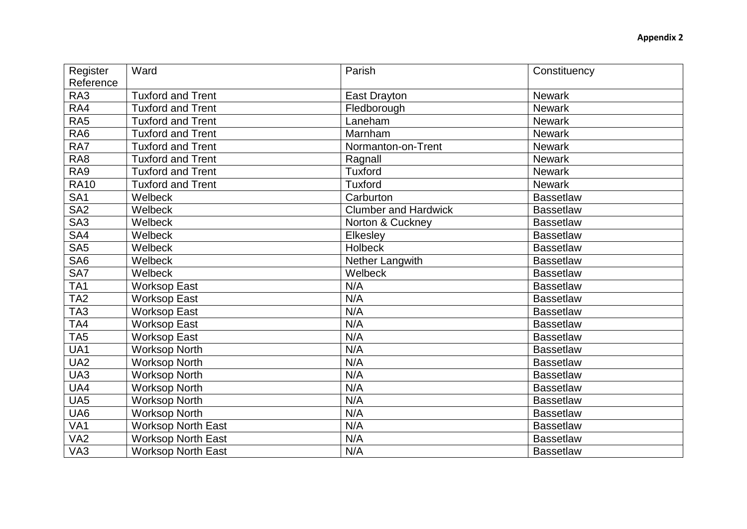| Register        | Ward                      | Parish                      | Constituency     |
|-----------------|---------------------------|-----------------------------|------------------|
| Reference       |                           |                             |                  |
| RA3             | <b>Tuxford and Trent</b>  | <b>East Drayton</b>         | <b>Newark</b>    |
| RA4             | Tuxford and Trent         | Fledborough                 | <b>Newark</b>    |
| RA <sub>5</sub> | <b>Tuxford and Trent</b>  | Laneham                     | <b>Newark</b>    |
| RA <sub>6</sub> | <b>Tuxford and Trent</b>  | Marnham                     | <b>Newark</b>    |
| RA7             | <b>Tuxford and Trent</b>  | Normanton-on-Trent          | <b>Newark</b>    |
| RA <sub>8</sub> | <b>Tuxford and Trent</b>  | Ragnall                     | <b>Newark</b>    |
| RA9             | <b>Tuxford and Trent</b>  | <b>Tuxford</b>              | <b>Newark</b>    |
| <b>RA10</b>     | <b>Tuxford and Trent</b>  | <b>Tuxford</b>              | <b>Newark</b>    |
| SA <sub>1</sub> | Welbeck                   | Carburton                   | <b>Bassetlaw</b> |
| SA <sub>2</sub> | Welbeck                   | <b>Clumber and Hardwick</b> | <b>Bassetlaw</b> |
| SA <sub>3</sub> | Welbeck                   | Norton & Cuckney            | <b>Bassetlaw</b> |
| SA4             | Welbeck                   | Elkesley                    | <b>Bassetlaw</b> |
| SA <sub>5</sub> | Welbeck                   | <b>Holbeck</b>              | <b>Bassetlaw</b> |
| SA <sub>6</sub> | Welbeck                   | Nether Langwith             | <b>Bassetlaw</b> |
| SA7             | Welbeck                   | Welbeck                     | <b>Bassetlaw</b> |
| TA <sub>1</sub> | <b>Worksop East</b>       | N/A                         | <b>Bassetlaw</b> |
| TA <sub>2</sub> | <b>Worksop East</b>       | N/A                         | <b>Bassetlaw</b> |
| TA <sub>3</sub> | <b>Worksop East</b>       | N/A                         | <b>Bassetlaw</b> |
| TA4             | <b>Worksop East</b>       | N/A                         | <b>Bassetlaw</b> |
| TA <sub>5</sub> | <b>Worksop East</b>       | N/A                         | <b>Bassetlaw</b> |
| UA1             | <b>Worksop North</b>      | N/A                         | <b>Bassetlaw</b> |
| UA <sub>2</sub> | <b>Worksop North</b>      | N/A                         | <b>Bassetlaw</b> |
| UA3             | <b>Worksop North</b>      | N/A                         | <b>Bassetlaw</b> |
| UA4             | <b>Worksop North</b>      | N/A                         | <b>Bassetlaw</b> |
| UA <sub>5</sub> | <b>Worksop North</b>      | N/A                         | <b>Bassetlaw</b> |
| UA <sub>6</sub> | <b>Worksop North</b>      | N/A                         | <b>Bassetlaw</b> |
| VA <sub>1</sub> | <b>Worksop North East</b> | N/A                         | <b>Bassetlaw</b> |
| VA <sub>2</sub> | <b>Worksop North East</b> | N/A                         | <b>Bassetlaw</b> |
| VA3             | <b>Worksop North East</b> | N/A                         | <b>Bassetlaw</b> |